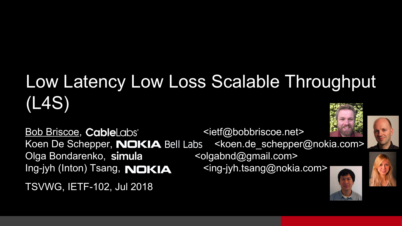### Low Latency Low Loss Scalable Throughput (L4S)

Bob Briscoe, CableLabs <ietf@bobbriscoe.net> Koen De Schepper, **NOKIA** Bell Labs <koen.de schepper@nokia.com> Olga Bondarenko, simula <olgabnd@gmail.com> Ing-jyh (Inton) Tsang, NOKIA <ing-jyh.tsang@nokia.com>

TSVWG, IETF-102, Jul 2018





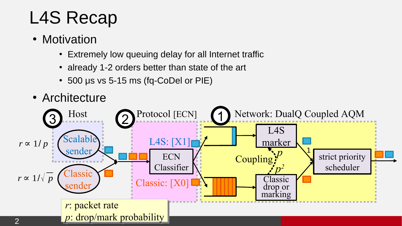### L4S Recap

- Motivation
	- Extremely low queuing delay for all Internet traffic
	- already 1-2 orders better than state of the art
	- $\cdot$  500 μs vs 5-15 ms (fq-CoDel or PIE)

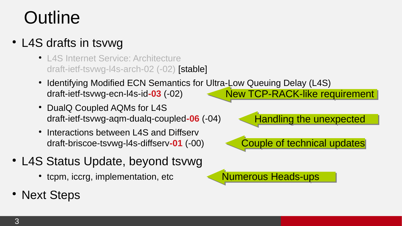#### **Outline**

#### • L4S drafts in tsvwg

- L4S Internet Service: Architecture draft-ietf-tsvwg-l4s-arch-02 (-02) [stable]
- Identifying Modified ECN Semantics for Ultra-Low Queuing Delay (L4S) draft-ietf-tsvwg-ecn-l4s-id**-03** (-02) New TCP-RACK-like requirement
- DualO Coupled AOMs for L4S draft-ietf-tsvwg-aqm-dualq-coupled**-06** (-04)
- Interactions between L4S and Diffserv draft-briscoe-tsvwg-l4s-diffserv**-01** (-00)
- L4S Status Update, beyond tsvwg
	- tcpm, iccrg, implementation, etc
- Next Steps

Handling the unexpected Couple of technical updates

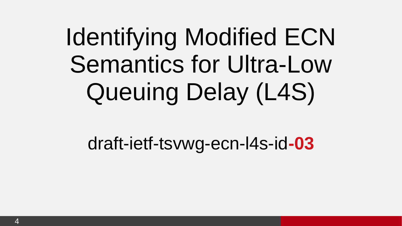# Identifying Modified ECN Semantics for Ultra-Low Queuing Delay (L4S)

draft-ietf-tsvwg-ecn-l4s-id**-03**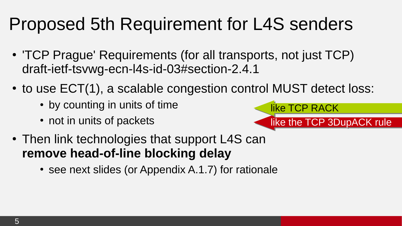#### Proposed 5th Requirement for L4S senders

- 'TCP Prague' Requirements (for all transports, not just TCP) [draft-ietf-tsvwg-ecn-l4s-id-03#section-2.4.1](https://tools.ietf.org/html/draft-ietf-tsvwg-ecn-l4s-id-03#section-2.4.1)
- $\cdot$  to use ECT(1), a scalable congestion control MUST detect loss:
	- by counting in units of time
	- not in units of packets



• see next slides (or Appendix A.1.7) for rationale

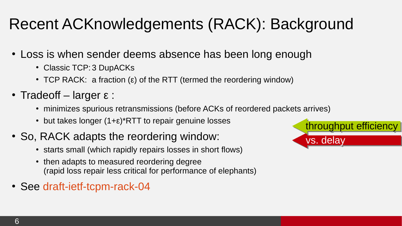#### Recent ACKnowledgements (RACK): Background

- Loss is when sender deems absence has been long enough
	- Classic TCP: 3 DupACKs
	- $\cdot$  TCP RACK: a fraction (ε) of the RTT (termed the reordering window)
- Tradeoff larger  $\varepsilon$  :
	- minimizes spurious retransmissions (before ACKs of reordered packets arrives)
	- but takes longer  $(1+\epsilon)^*$ RTT to repair genuine losses
- So, RACK adapts the reordering window:
	- starts small (which rapidly repairs losses in short flows)
	- then adapts to measured reordering degree (rapid loss repair less critical for performance of elephants)
- See [draft-ietf-tcpm-rack-04](https://tools.ietf.org/html/draft-ietf-tcpm-rack)

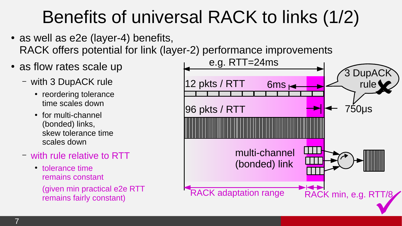### Benefits of universal RACK to links (1/2)

- $\cdot$  as well as e2e (layer-4) benefits, RACK offers potential for link (layer-2) performance improvements
- as flow rates scale up
	- with 3 DupACK rule
		- reordering tolerance time scales down
		- for multi-channel (bonded) links, skew tolerance time scales down
	- with rule relative to RTT
		- tolerance time remains constant (given min practical e2e RTT remains fairly constant)

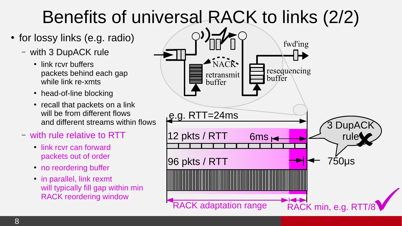### Benefits of universal RACK to links (2/2)

- for lossy links (e.g. radio)
	- with 3 DupACK rule
		- link rcvr buffers packets behind each gap while link re-xmts
		- head-of-line blocking
		- recall that packets on a link will be from different flows and different streams within flows
	- with rule relative to RTT
		- link rcvr can forward packets out of order
		- no reordering buffer
		- $\cdot$  in parallel, link rexmt will typically fill gap within min RACK reordering window

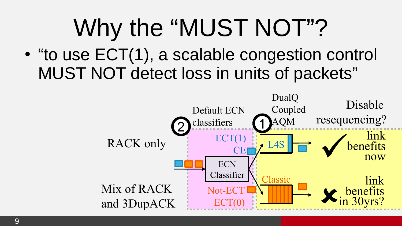## Why the "MUST NOT"?

• "to use ECT(1), a scalable congestion control MUST NOT detect loss in units of packets"

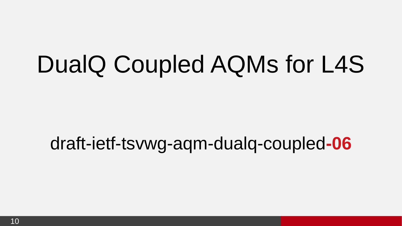### DualQ Coupled AQMs for L4S

#### draft-ietf-tsvwg-aqm-dualq-coupled**-06**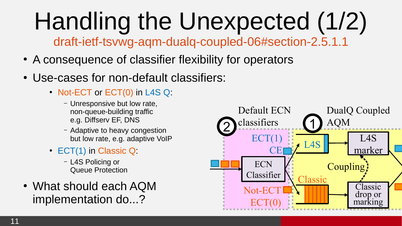# Handling the Unexpected (1/2)

[draft-ietf-tsvwg-aqm-dualq-coupled-06#section-2.5.1.1](https://tools.ietf.org/html/draft-ietf-tsvwg-aqm-dualq-coupled-06#section-2.5.1.1)

- A consequence of classifier flexibility for operators
- Use-cases for non-default classifiers:
	- Not-ECT or ECT(0) in L4S Q:
		- Unresponsive but low rate, non-queue-building traffic e.g. Diffserv EF, DNS
		- Adaptive to heavy congestion but low rate, e.g. adaptive VoIP
	- ECT(1) in Classic Q:
		- L4S Policing or Queue Protection
- What should each AQM implementation do...?

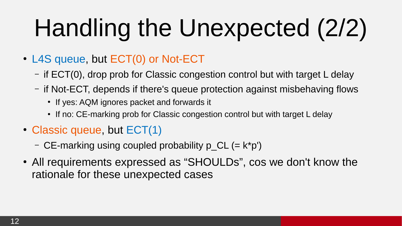# Handling the Unexpected (2/2)

- L4S queue, but ECT(0) or Not-ECT
	- if ECT(0), drop prob for Classic congestion control but with target L delay
	- if Not-ECT, depends if there's queue protection against misbehaving flows
		- If yes: AQM ignores packet and forwards it
		- If no: CE-marking prob for Classic congestion control but with target L delay
- Classic queue, but  $ECT(1)$ 
	- CE-marking using coupled probability  $p$  CL (= k\*p')
- All requirements expressed as "SHOULDs", cos we don't know the rationale for these unexpected cases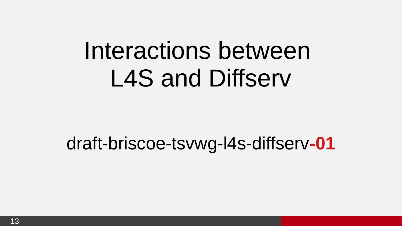### Interactions between L4S and Diffserv

#### draft-briscoe-tsvwg-l4s-diffserv**-01**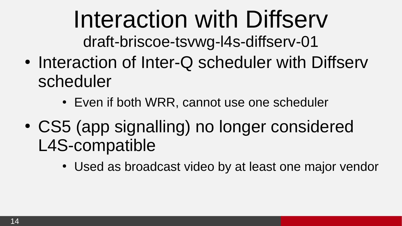Interaction with Diffserv

[draft-briscoe-tsvwg-l4s-diffserv-01](https://tools.ietf.org/html/draft-briscoe-tsvwg-l4s-diffserv-01)

- Interaction of Inter-Q scheduler with Diffserv scheduler
	- Even if both WRR, cannot use one scheduler
- CS5 (app signalling) no longer considered L4S-compatible
	- Used as broadcast video by at least one major vendor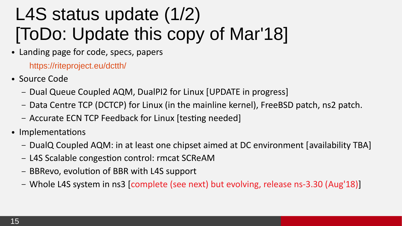### L4S status update (1/2) [ToDo: Update this copy of Mar'18]

• Landing page for code, specs, papers

<https://riteproject.eu/dctth/>

- Source Code
	- Dual Queue Coupled AQM, DualPI2 for Linux [UPDATE in progress]
	- Data Centre TCP (DCTCP) for Linux (in the mainline kernel), FreeBSD patch, ns2 patch.
	- Accurate ECN TCP Feedback for Linux [testing needed]
- Implementations
	- DualQ Coupled AQM: in at least one chipset aimed at DC environment [availability TBA]
	- L4S Scalable congestion control: rmcat SCReAM
	- BBRevo, evolution of BBR with L4S support
	- Whole L4S system in ns3 [complete (see next) but evolving, release ns-3.30 (Aug'18)]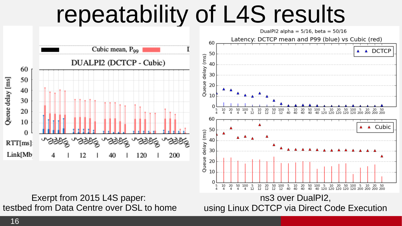### repeatability of L4S results



 $\cap$ 

5 10 20 50 100 5 10  $^{20}_{12}$ 

Exerpt from 2015 L4S paper: testbed from Data Centre over DSL to home

ns3 over DualPI2, using Linux DCTCP via Direct Code Execution

10

ãδ

50<br>40 100

20

 $40<sup>2</sup>$ 

20 50

40 120 120 120 120 120 200

100 5

- 5 10

 $\frac{50}{12}$ 

100 5

 $12$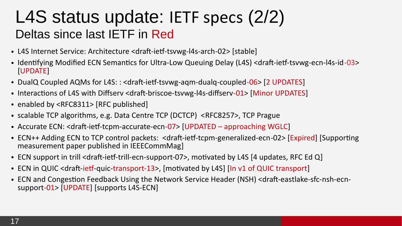#### L4S status update: IETF specs (2/2) Deltas since last IETF in Red

- L4S Internet Service: Architecture <draft-ietf-tsvwg-l4s-arch-02> [stable]
- Identifying Modified ECN Semantics for Ultra-Low Queuing Delay (L4S) <draft-ietf-tsvwg-ecn-l4s-id-03> [UPDATE]
- DualQ Coupled AQMs for L4S: : <draft-ietf-tsvwg-aqm-dualq-coupled-06> [2 UPDATES]
- Interactions of L4S with Diffserv <draft-briscoe-tsvwg-l4s-diffserv-01> [Minor UPDATES]
- enabled by <RFC8311> [RFC published]
- scalable TCP algorithms, e.g. Data Centre TCP (DCTCP) <RFC8257>, TCP Prague
- Accurate ECN: <draft-ietf-tcpm-accurate-ecn-07> [UPDATED approaching WGLC]
- ECN++ Adding ECN to TCP control packets: <draft-ietf-tcpm-generalized-ecn-02> [Expired] [Supporting measurement paper published in IEEECommMag]
- ECN support in trill <draft-ietf-trill-ecn-support-07>, motivated by L4S [4 updates, RFC Ed Q]
- ECN in QUIC <draft-ietf-quic-transport-13>, [motivated by L4S] [In v1 of QUIC transport]
- ECN and Congestion Feedback Using the Network Service Header (NSH) <draft-eastlake-sfc-nsh-ecnsupport-01> [UPDATE] [supports L4S-ECN]